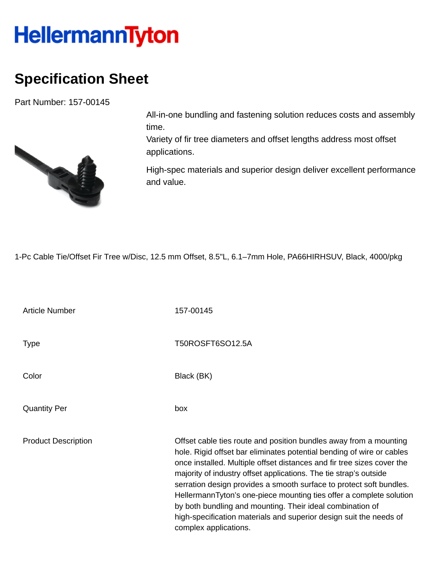## **HellermannTyton**

## **Specification Sheet**

Part Number: 157-00145



All-in-one bundling and fastening solution reduces costs and assembly time.

Variety of fir tree diameters and offset lengths address most offset applications.

High-spec materials and superior design deliver excellent performance and value.

1-Pc Cable Tie/Offset Fir Tree w/Disc, 12.5 mm Offset, 8.5"L, 6.1–7mm Hole, PA66HIRHSUV, Black, 4000/pkg

Article Number 157-00145 Type Type T50ROSFT6SO12.5A Color Black (BK) Quantity Per box Product Description **Description** Offset cable ties route and position bundles away from a mounting hole. Rigid offset bar eliminates potential bending of wire or cables once installed. Multiple offset distances and fir tree sizes cover the majority of industry offset applications. The tie strap's outside serration design provides a smooth surface to protect soft bundles. HellermannTyton's one-piece mounting ties offer a complete solution by both bundling and mounting. Their ideal combination of high-specification materials and superior design suit the needs of complex applications.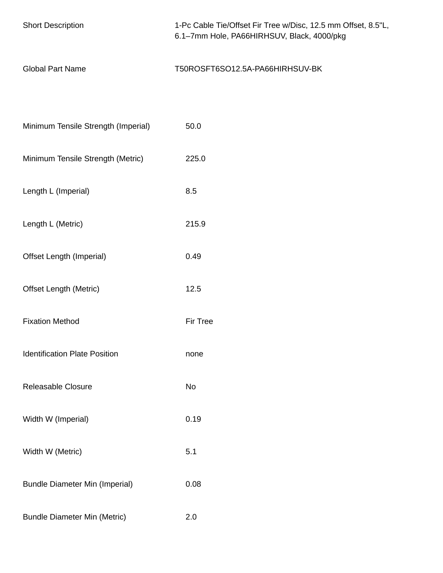| <b>Short Description</b>              | 1-Pc Cable Tie/Offset Fir Tree w/Disc, 12.5 mm Offset, 8.5"L,<br>6.1-7mm Hole, PA66HIRHSUV, Black, 4000/pkg |
|---------------------------------------|-------------------------------------------------------------------------------------------------------------|
| <b>Global Part Name</b>               | T50ROSFT6SO12.5A-PA66HIRHSUV-BK                                                                             |
|                                       |                                                                                                             |
| Minimum Tensile Strength (Imperial)   | 50.0                                                                                                        |
| Minimum Tensile Strength (Metric)     | 225.0                                                                                                       |
| Length L (Imperial)                   | 8.5                                                                                                         |
| Length L (Metric)                     | 215.9                                                                                                       |
| Offset Length (Imperial)              | 0.49                                                                                                        |
| <b>Offset Length (Metric)</b>         | 12.5                                                                                                        |
| <b>Fixation Method</b>                | Fir Tree                                                                                                    |
| <b>Identification Plate Position</b>  | none                                                                                                        |
| Releasable Closure                    | No                                                                                                          |
| Width W (Imperial)                    | 0.19                                                                                                        |
| Width W (Metric)                      | 5.1                                                                                                         |
| <b>Bundle Diameter Min (Imperial)</b> | 0.08                                                                                                        |
| <b>Bundle Diameter Min (Metric)</b>   | 2.0                                                                                                         |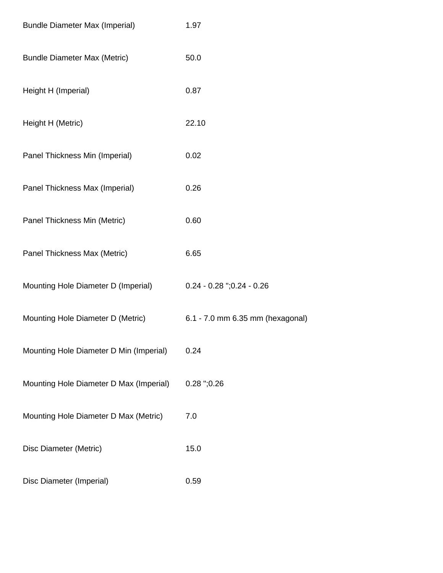| <b>Bundle Diameter Max (Imperial)</b>   | 1.97                             |
|-----------------------------------------|----------------------------------|
| <b>Bundle Diameter Max (Metric)</b>     | 50.0                             |
| Height H (Imperial)                     | 0.87                             |
| Height H (Metric)                       | 22.10                            |
| Panel Thickness Min (Imperial)          | 0.02                             |
| Panel Thickness Max (Imperial)          | 0.26                             |
| Panel Thickness Min (Metric)            | 0.60                             |
| Panel Thickness Max (Metric)            | 6.65                             |
| Mounting Hole Diameter D (Imperial)     | $0.24 - 0.28$ ";0.24 - 0.26      |
| Mounting Hole Diameter D (Metric)       | 6.1 - 7.0 mm 6.35 mm (hexagonal) |
| Mounting Hole Diameter D Min (Imperial) | 0.24                             |
| Mounting Hole Diameter D Max (Imperial) | $0.28$ ";0.26                    |
| Mounting Hole Diameter D Max (Metric)   | 7.0                              |
| Disc Diameter (Metric)                  | 15.0                             |
| Disc Diameter (Imperial)                | 0.59                             |